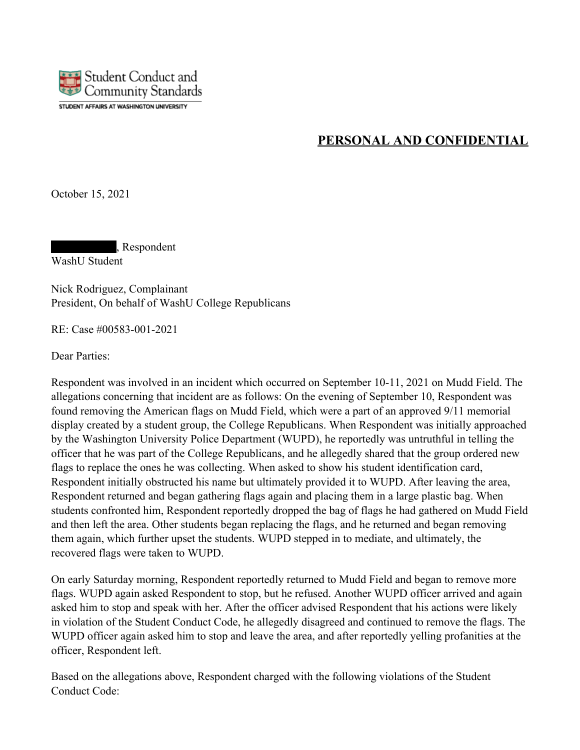

# **PERSONAL AND CONFIDENTIAL**

October 15, 2021

, Respondent WashU Student

Nick Rodriguez, Complainant President, On behalf of WashU College Republicans

RE: Case #00583-001-2021

Dear Parties:

Respondent was involved in an incident which occurred on September 10-11, 2021 on Mudd Field. The allegations concerning that incident are as follows: On the evening of September 10, Respondent was found removing the American flags on Mudd Field, which were a part of an approved 9/11 memorial display created by a student group, the College Republicans. When Respondent was initially approached by the Washington University Police Department (WUPD), he reportedly was untruthful in telling the officer that he was part of the College Republicans, and he allegedly shared that the group ordered new flags to replace the ones he was collecting. When asked to show his student identification card, Respondent initially obstructed his name but ultimately provided it to WUPD. After leaving the area, Respondent returned and began gathering flags again and placing them in a large plastic bag. When students confronted him, Respondent reportedly dropped the bag of flags he had gathered on Mudd Field and then left the area. Other students began replacing the flags, and he returned and began removing them again, which further upset the students. WUPD stepped in to mediate, and ultimately, the recovered flags were taken to WUPD.

On early Saturday morning, Respondent reportedly returned to Mudd Field and began to remove more flags. WUPD again asked Respondent to stop, but he refused. Another WUPD officer arrived and again asked him to stop and speak with her. After the officer advised Respondent that his actions were likely in violation of the Student Conduct Code, he allegedly disagreed and continued to remove the flags. The WUPD officer again asked him to stop and leave the area, and after reportedly yelling profanities at the officer, Respondent left.

Based on the allegations above, Respondent charged with the following violations of the Student Conduct Code: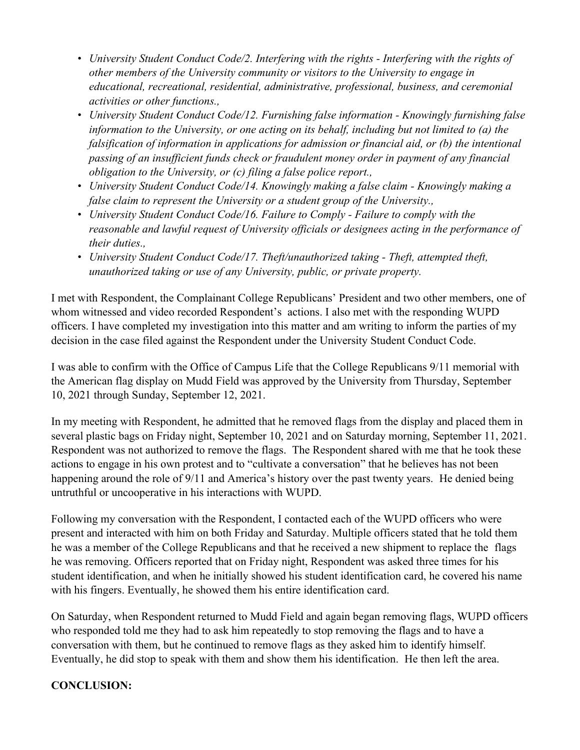- *University Student Conduct Code/2. Interfering with the rights Interfering with the rights of other members of the University community or visitors to the University to engage in educational, recreational, residential, administrative, professional, business, and ceremonial activities or other functions.,*
- *University Student Conduct Code/12. Furnishing false information Knowingly furnishing false information to the University, or one acting on its behalf, including but not limited to (a) the falsification of information in applications for admission or financial aid, or (b) the intentional passing of an insufficient funds check or fraudulent money order in payment of any financial obligation to the University, or (c) filing a false police report.,*
- *University Student Conduct Code/14. Knowingly making a false claim Knowingly making a false claim to represent the University or a student group of the University.,*
- *University Student Conduct Code/16. Failure to Comply Failure to comply with the reasonable and lawful request of University officials or designees acting in the performance of their duties*
- *University Student Conduct Code/17. Theft/unauthorized taking Theft, attempted theft, unauthorized taking or use of any University, public, or private property.*

I met with Respondent, the Complainant College Republicans' President and two other members, one of whom witnessed and video recorded Respondent's actions. I also met with the responding WUPD officers. I have completed my investigation into this matter and am writing to inform the parties of my decision in the case filed against the Respondent under the University Student Conduct Code.

I was able to confirm with the Office of Campus Life that the College Republicans 9/11 memorial with the American flag display on Mudd Field was approved by the University from Thursday, September 10, 2021 through Sunday, September 12, 2021.

In my meeting with Respondent, he admitted that he removed flags from the display and placed them in several plastic bags on Friday night, September 10, 2021 and on Saturday morning, September 11, 2021. Respondent was not authorized to remove the flags. The Respondent shared with me that he took these actions to engage in his own protest and to "cultivate a conversation" that he believes has not been happening around the role of 9/11 and America's history over the past twenty years. He denied being untruthful or uncooperative in his interactions with WUPD.

Following my conversation with the Respondent, I contacted each of the WUPD officers who were present and interacted with him on both Friday and Saturday. Multiple officers stated that he told them he was a member of the College Republicans and that he received a new shipment to replace the flags he was removing. Officers reported that on Friday night, Respondent was asked three times for his student identification, and when he initially showed his student identification card, he covered his name with his fingers. Eventually, he showed them his entire identification card.

On Saturday, when Respondent returned to Mudd Field and again began removing flags, WUPD officers who responded told me they had to ask him repeatedly to stop removing the flags and to have a conversation with them, but he continued to remove flags as they asked him to identify himself. Eventually, he did stop to speak with them and show them his identification. He then left the area.

## **CONCLUSION:**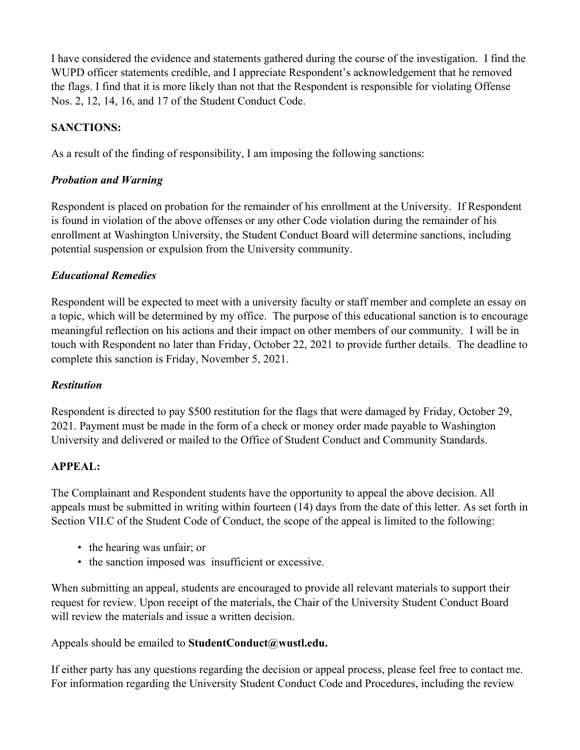I have considered the evidence and statements gathered during the course of the investigation. I find the WUPD officer statements credible, and I appreciate Respondent's acknowledgement that he removed the flags. I find that it is more likely than not that the Respondent is responsible for violating Offense Nos. 2, 12, 14, 16, and 17 of the Student Conduct Code.

# **SANCTIONS:**

As a result of the finding of responsibility, I am imposing the following sanctions:

## *Probation and Warning*

Respondent is placed on probation for the remainder of his enrollment at the University. If Respondent is found in violation of the above offenses or any other Code violation during the remainder of his enrollment at Washington University, the Student Conduct Board will determine sanctions, including potential suspension or expulsion from the University community.

# *Educational Remedies*

Respondent will be expected to meet with a university faculty or staff member and complete an essay on a topic, which will be determined by my office. The purpose of this educational sanction is to encourage meaningful reflection on his actions and their impact on other members of our community. I will be in touch with Respondent no later than Friday, October 22, 2021 to provide further details. The deadline to complete this sanction is Friday, November 5, 2021.

## *Restitution*

Respondent is directed to pay \$500 restitution for the flags that were damaged by Friday, October 29, 2021. Payment must be made in the form of a check or money order made payable to Washington University and delivered or mailed to the Office of Student Conduct and Community Standards.

## **APPEAL:**

The Complainant and Respondent students have the opportunity to appeal the above decision. All appeals must be submitted in writing within fourteen (14) days from the date of this letter. As set forth in Section VII.C of the Student Code of Conduct, the scope of the appeal is limited to the following:

- the hearing was unfair; or
- the sanction imposed was insufficient or excessive.

When submitting an appeal, students are encouraged to provide all relevant materials to support their request for review. Upon receipt of the materials, the Chair of the University Student Conduct Board will review the materials and issue a written decision.

Appeals should be emailed to **StudentConduct@wustl.edu.**

If either party has any questions regarding the decision or appeal process, please feel free to contact me. For information regarding the University Student Conduct Code and Procedures, including the review